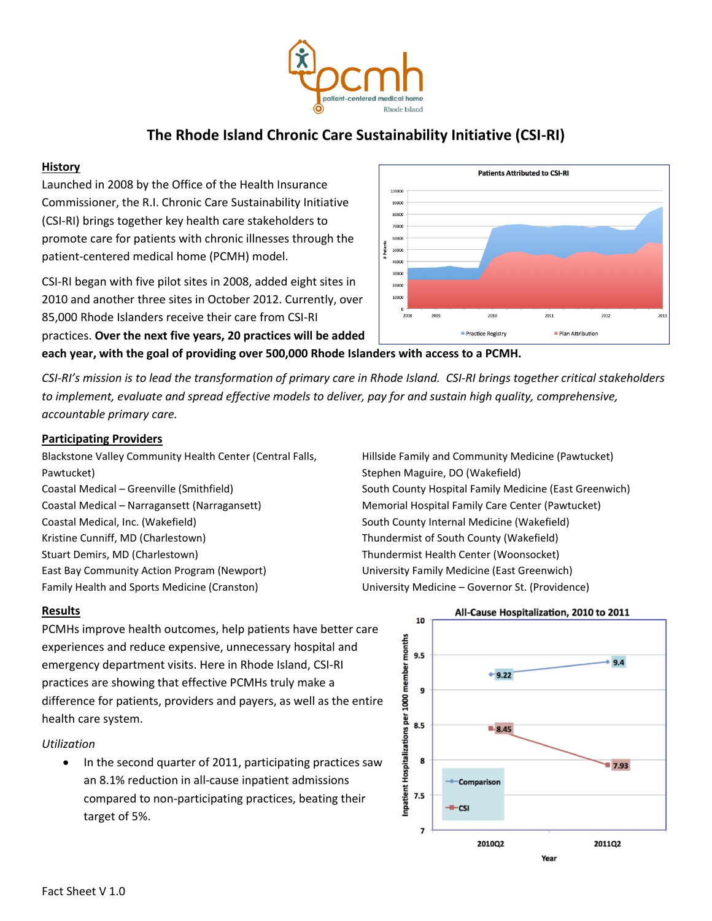

# **The Rhode Island Chronic Care Sustainability Initiative (CSI-RI)**

#### **History**

Launched in 2008 by the Office of the Health Insurance Commissioner, the R.I. Chronic Care Sustainability Initiative (CSI-RI) brings together key health care stakeholders to promote care for patients with chronic illnesses through the patient-centered medical home (PCMH) model.

CSI-RI began with five pilot sites in 2008, added eight sites in 2010 and another three sites in October 2012. Currently, over 85,000 Rhode Islanders receive their care from CSI-RI practices. **Over the next five years, 20 practices will be added** 

**each year, with the goal of providing over 500,000 Rhode Islanders with access to a PCMH.**

*CSI-RI's mission is to lead the transformation of primary care in Rhode Island. CSI-RI brings together critical stakeholders to implement, evaluate and spread effective models to deliver, pay for and sustain high quality, comprehensive, accountable primary care.*

#### **Participating Providers**

Blackstone Valley Community Health Center (Central Falls, Pawtucket) Coastal Medical – Narragansett (Narragansett) Memorial Hospital Family Care Center (Pawtucket) Coastal Medical, Inc. (Wakefield) South County Internal Medicine (Wakefield) Kristine Cunniff, MD (Charlestown) Thundermist of South County (Wakefield) Stuart Demirs, MD (Charlestown) Thundermist Health Center (Woonsocket) East Bay Community Action Program (Newport) University Family Medicine (East Greenwich) Family Health and Sports Medicine (Cranston) University Medicine – Governor St. (Providence)

## **Results**

PCMHs improve health outcomes, help patients have better care experiences and reduce expensive, unnecessary hospital and emergency department visits. Here in Rhode Island, CSI-RI practices are showing that effective PCMHs truly make a difference for patients, providers and payers, as well as the entire health care system.

#### *Utilization*

 In the second quarter of 2011, participating practices saw an 8.1% reduction in all-cause inpatient admissions compared to non-participating practices, beating their target of 5%.



Hillside Family and Community Medicine (Pawtucket) Stephen Maguire, DO (Wakefield) Coastal Medical – Greenville (Smithfield) South County Hospital Family Medicine (East Greenwich)



# All-Cause Hospitalization, 2010 to 2011